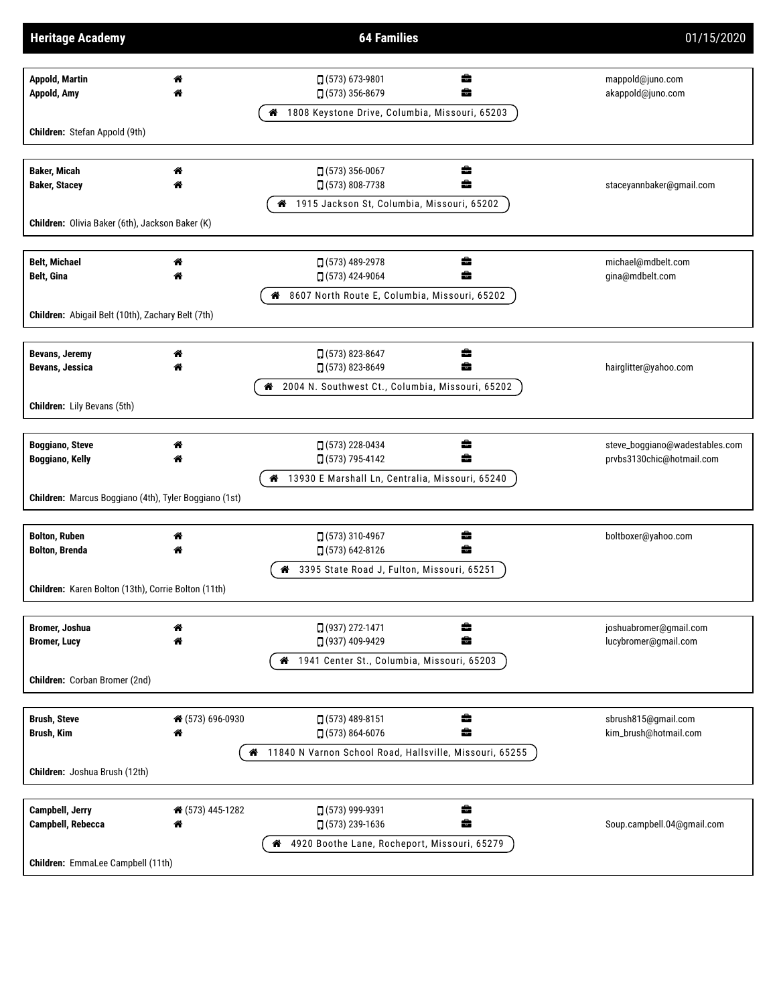| <b>Heritage Academy</b>                                                                             |                       | <b>64 Families</b>                                                                                          | 01/15/2020                                                  |  |  |  |
|-----------------------------------------------------------------------------------------------------|-----------------------|-------------------------------------------------------------------------------------------------------------|-------------------------------------------------------------|--|--|--|
| <b>Appold, Martin</b><br>Appold, Amy                                                                | 斧                     | □ (573) 673-9801<br>÷<br>â<br>□ (573) 356-8679                                                              | mappold@juno.com<br>akappold@juno.com                       |  |  |  |
| Children: Stefan Appold (9th)                                                                       |                       | 1808 Keystone Drive, Columbia, Missouri, 65203<br>ಣ                                                         |                                                             |  |  |  |
| <b>Baker, Micah</b><br><b>Baker, Stacey</b>                                                         | 斧<br>"                | $(573)$ 356-0067<br>÷<br>â<br>$(573) 808 - 7738$                                                            | staceyannbaker@gmail.com                                    |  |  |  |
| Children: Olivia Baker (6th), Jackson Baker (K)                                                     |                       | 4 1915 Jackson St, Columbia, Missouri, 65202                                                                |                                                             |  |  |  |
| <b>Belt, Michael</b><br><b>Belt, Gina</b>                                                           | 斧<br>各                | □ (573) 489-2978<br>÷<br>â<br>□ (573) 424-9064                                                              | michael@mdbelt.com<br>gina@mdbelt.com                       |  |  |  |
| Children: Abigail Belt (10th), Zachary Belt (7th)                                                   |                       | 8607 North Route E, Columbia, Missouri, 65202<br>ಣ                                                          |                                                             |  |  |  |
| <b>Bevans, Jeremy</b><br>Bevans, Jessica                                                            | 斧<br>₩                | $(573) 823 - 8647$<br>÷<br>$(573) 823 - 8649$<br>÷<br>2004 N. Southwest Ct., Columbia, Missouri, 65202<br>ಣ | hairglitter@yahoo.com                                       |  |  |  |
| <b>Children:</b> Lily Bevans (5th)                                                                  |                       |                                                                                                             |                                                             |  |  |  |
| <b>Boggiano, Steve</b><br><b>Boggiano, Kelly</b>                                                    | "<br>♠                | □ (573) 228-0434<br>÷<br>÷<br>□ (573) 795-4142<br>4 13930 E Marshall Ln, Centralia, Missouri, 65240         | steve_boggiano@wadestables.com<br>prvbs3130chic@hotmail.com |  |  |  |
| Children: Marcus Boggiano (4th), Tyler Boggiano (1st)                                               |                       |                                                                                                             |                                                             |  |  |  |
| <b>Bolton, Ruben</b><br><b>Bolton, Brenda</b>                                                       | 斧<br>"                | □ (573) 310-4967<br>÷<br>÷<br>$(573) 642 - 8126$                                                            | boltboxer@yahoo.com                                         |  |  |  |
| 4 3395 State Road J, Fulton, Missouri, 65251<br>Children: Karen Bolton (13th), Corrie Bolton (11th) |                       |                                                                                                             |                                                             |  |  |  |
| Bromer, Joshua<br><b>Bromer, Lucy</b>                                                               | 斧<br>₩                | □ (937) 272-1471<br>÷<br>÷<br>□ (937) 409-9429<br>4 1941 Center St., Columbia, Missouri, 65203              | joshuabromer@gmail.com<br>lucybromer@gmail.com              |  |  |  |
| Children: Corban Bromer (2nd)                                                                       |                       |                                                                                                             |                                                             |  |  |  |
| <b>Brush, Steve</b><br>Brush, Kim                                                                   | ↑ (573) 696-0930<br>₩ | $(573)$ 489-8151<br>÷<br>ŝ<br>$\Box$ (573) 864-6076                                                         | sbrush815@gmail.com<br>kim_brush@hotmail.com                |  |  |  |
| 4 11840 N Varnon School Road, Hallsville, Missouri, 65255<br>Children: Joshua Brush (12th)          |                       |                                                                                                             |                                                             |  |  |  |
| <b>Campbell, Jerry</b><br>Campbell, Rebecca                                                         | ↑ (573) 445-1282<br>谷 | □ (573) 999-9391<br>÷<br>ŝ<br>$\Box$ (573) 239-1636                                                         | Soup.campbell.04@gmail.com                                  |  |  |  |
| Children: EmmaLee Campbell (11th)                                                                   |                       | 4920 Boothe Lane, Rocheport, Missouri, 65279<br>ಣ                                                           |                                                             |  |  |  |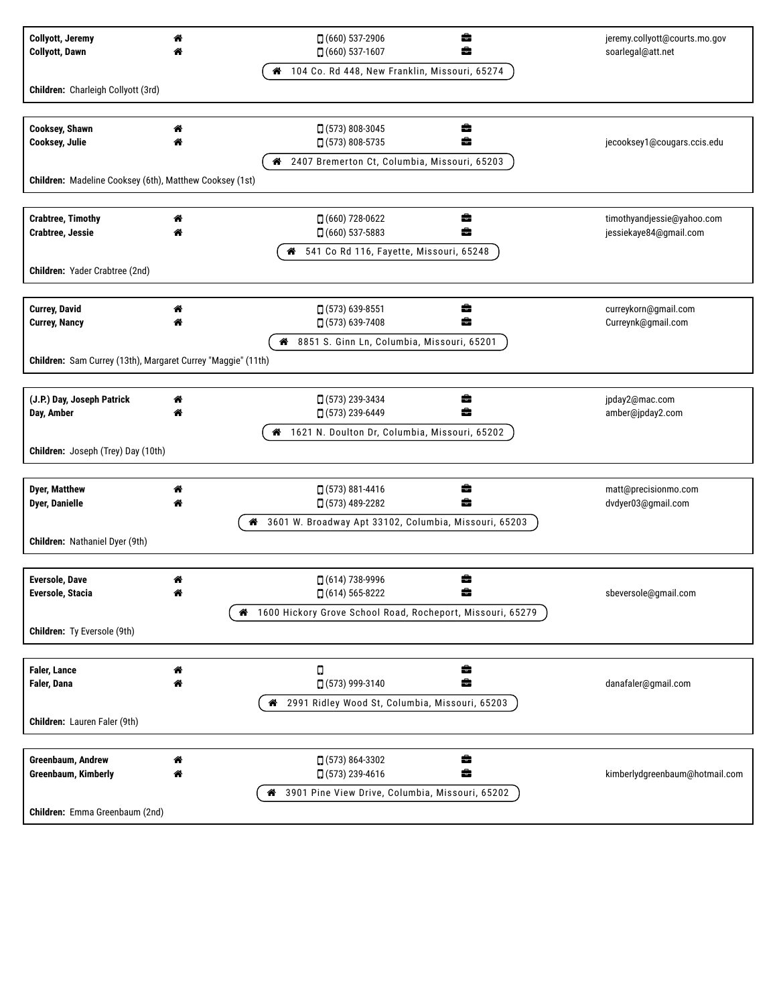| <b>Collyott, Jeremy</b><br><b>Collyott, Dawn</b>             | 俗      | ÷<br>$(660)$ 537-2906<br>â<br>$(660)$ 537-1607                           | jeremy.collyott@courts.mo.gov<br>soarlegal@att.net |  |  |  |  |
|--------------------------------------------------------------|--------|--------------------------------------------------------------------------|----------------------------------------------------|--|--|--|--|
|                                                              |        | 4 104 Co. Rd 448, New Franklin, Missouri, 65274                          |                                                    |  |  |  |  |
| Children: Charleigh Collyott (3rd)                           |        |                                                                          |                                                    |  |  |  |  |
|                                                              |        |                                                                          |                                                    |  |  |  |  |
| <b>Cooksey, Shawn</b>                                        | ◈      | $\Box$ (573) 808-3045<br>曲                                               |                                                    |  |  |  |  |
| Cooksey, Julie                                               | 斧      | ÷<br>$(573) 808 - 5735$                                                  | jecooksey1@cougars.ccis.edu                        |  |  |  |  |
|                                                              |        | 2407 Bremerton Ct, Columbia, Missouri, 65203<br>@                        |                                                    |  |  |  |  |
| Children: Madeline Cooksey (6th), Matthew Cooksey (1st)      |        |                                                                          |                                                    |  |  |  |  |
| <b>Crabtree, Timothy</b>                                     | "      | ÷<br>$(660)$ 728-0622                                                    | timothyandjessie@yahoo.com                         |  |  |  |  |
| Crabtree, Jessie                                             |        | $(660)$ 537-5883<br>÷                                                    | jessiekaye84@gmail.com                             |  |  |  |  |
|                                                              |        | 4 541 Co Rd 116, Fayette, Missouri, 65248                                |                                                    |  |  |  |  |
| Children: Yader Crabtree (2nd)                               |        |                                                                          |                                                    |  |  |  |  |
|                                                              |        |                                                                          |                                                    |  |  |  |  |
| <b>Currey, David</b>                                         | ₩      | $(573)$ 639-8551<br>÷                                                    | curreykorn@gmail.com                               |  |  |  |  |
| <b>Currey, Nancy</b>                                         | ₩      | □ (573) 639-7408<br>÷                                                    | Curreynk@gmail.com                                 |  |  |  |  |
|                                                              |        | 8851 S. Ginn Ln, Columbia, Missouri, 65201                               |                                                    |  |  |  |  |
| Children: Sam Currey (13th), Margaret Currey "Maggie" (11th) |        |                                                                          |                                                    |  |  |  |  |
|                                                              |        |                                                                          |                                                    |  |  |  |  |
| (J.P.) Day, Joseph Patrick<br>Day, Amber                     | ₩<br>☎ | $\Box$ (573) 239-3434<br>畵<br>÷<br>$(573)$ 239-6449                      | jpday2@mac.com<br>amber@jpday2.com                 |  |  |  |  |
|                                                              |        | 1621 N. Doulton Dr, Columbia, Missouri, 65202<br>"                       |                                                    |  |  |  |  |
| Children: Joseph (Trey) Day (10th)                           |        |                                                                          |                                                    |  |  |  |  |
|                                                              |        |                                                                          |                                                    |  |  |  |  |
| <b>Dyer, Matthew</b>                                         | ₩      | ÷<br>$(573) 881 - 4416$                                                  | matt@precisionmo.com                               |  |  |  |  |
| <b>Dyer, Danielle</b>                                        |        | □ (573) 489-2282<br>â                                                    | dvdyer03@gmail.com                                 |  |  |  |  |
|                                                              |        | 3601 W. Broadway Apt 33102, Columbia, Missouri, 65203<br>₩               |                                                    |  |  |  |  |
| Children: Nathaniel Dyer (9th)                               |        |                                                                          |                                                    |  |  |  |  |
|                                                              |        |                                                                          |                                                    |  |  |  |  |
| <b>Eversole, Dave</b><br>Eversole, Stacia                    | "      | $\Box$ (614) 738-9996<br>÷<br>$(614) 565 - 8222$                         | sbeversole@gmail.com                               |  |  |  |  |
|                                                              | ⋒      | 1600 Hickory Grove School Road, Rocheport, Missouri, 65279               |                                                    |  |  |  |  |
| Children: Ty Eversole (9th)                                  |        |                                                                          |                                                    |  |  |  |  |
|                                                              |        |                                                                          |                                                    |  |  |  |  |
| <b>Faler, Lance</b>                                          | ◈      | ÷<br>О                                                                   |                                                    |  |  |  |  |
| Faler, Dana                                                  | ₩      | ÷<br>$(573)$ 999-3140                                                    | danafaler@gmail.com                                |  |  |  |  |
|                                                              |        | 2991 Ridley Wood St, Columbia, Missouri, 65203<br>₩                      |                                                    |  |  |  |  |
| Children: Lauren Faler (9th)                                 |        |                                                                          |                                                    |  |  |  |  |
|                                                              |        |                                                                          |                                                    |  |  |  |  |
| Greenbaum, Andrew                                            | "<br>◈ | ÷<br>$(573) 864 - 3302$<br>÷                                             |                                                    |  |  |  |  |
| <b>Greenbaum, Kimberly</b>                                   |        | $(573)$ 239-4616<br>3901 Pine View Drive, Columbia, Missouri, 65202<br>⋒ | kimberlydgreenbaum@hotmail.com                     |  |  |  |  |
| Children: Emma Greenbaum (2nd)                               |        |                                                                          |                                                    |  |  |  |  |
|                                                              |        |                                                                          |                                                    |  |  |  |  |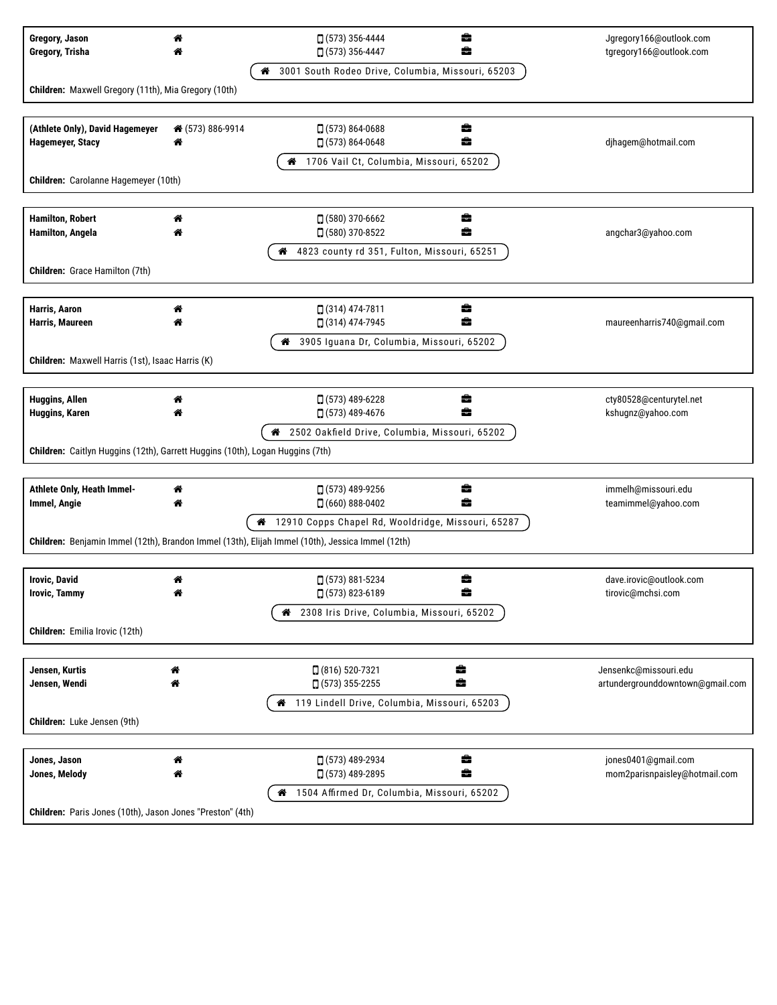| Gregory, Jason<br>Gregory, Trisha                                                                                                    | "                | ÷<br>$\Box$ (573) 356-4444<br>÷<br>$\Box$ (573) 356-4447<br>48 3001 South Rodeo Drive, Columbia, Missouri, 65203 | Jgregory166@outlook.com<br>tgregory166@outlook.com        |  |  |  |  |
|--------------------------------------------------------------------------------------------------------------------------------------|------------------|------------------------------------------------------------------------------------------------------------------|-----------------------------------------------------------|--|--|--|--|
| Children: Maxwell Gregory (11th), Mia Gregory (10th)                                                                                 |                  |                                                                                                                  |                                                           |  |  |  |  |
|                                                                                                                                      |                  |                                                                                                                  |                                                           |  |  |  |  |
| (Athlete Only), David Hagemeyer<br>Hagemeyer, Stacy                                                                                  | ↑ (573) 886-9914 | ÷<br>$\Box$ (573) 864-0688<br>$(573) 864 - 0648$<br>壼                                                            | djhagem@hotmail.com                                       |  |  |  |  |
| Children: Carolanne Hagemeyer (10th)                                                                                                 |                  | 1706 Vail Ct, Columbia, Missouri, 65202<br>₩                                                                     |                                                           |  |  |  |  |
|                                                                                                                                      |                  |                                                                                                                  |                                                           |  |  |  |  |
| <b>Hamilton, Robert</b><br>Hamilton, Angela                                                                                          | "                | $(580)$ 370-6662<br>8<br>$(580)$ 370-8522<br>÷                                                                   | angchar3@yahoo.com                                        |  |  |  |  |
| Children: Grace Hamilton (7th)                                                                                                       |                  | 4823 county rd 351, Fulton, Missouri, 65251<br>◢                                                                 |                                                           |  |  |  |  |
|                                                                                                                                      |                  |                                                                                                                  |                                                           |  |  |  |  |
| Harris, Aaron<br>Harris, Maureen                                                                                                     | ₩                | $(314)$ 474-7811<br>8<br>□ (314) 474-7945<br>÷                                                                   | maureenharris740@gmail.com                                |  |  |  |  |
|                                                                                                                                      |                  | 3905 Iguana Dr, Columbia, Missouri, 65202                                                                        |                                                           |  |  |  |  |
| Children: Maxwell Harris (1st), Isaac Harris (K)                                                                                     |                  |                                                                                                                  |                                                           |  |  |  |  |
|                                                                                                                                      |                  |                                                                                                                  |                                                           |  |  |  |  |
| Huggins, Allen<br>Huggins, Karen                                                                                                     |                  | $(573)$ 489-6228<br>参<br>$(573)$ 489-4676<br>盖                                                                   | cty80528@centurytel.net<br>kshugnz@yahoo.com              |  |  |  |  |
| 2502 Oakfield Drive, Columbia, Missouri, 65202<br>ಣ<br>Children: Caitlyn Huggins (12th), Garrett Huggins (10th), Logan Huggins (7th) |                  |                                                                                                                  |                                                           |  |  |  |  |
|                                                                                                                                      |                  |                                                                                                                  |                                                           |  |  |  |  |
| Athlete Only, Heath Immel-<br>Immel, Angie                                                                                           | "<br>◢           | $(573)$ 489-9256<br>8<br>÷<br>$\Box$ (660) 888-0402                                                              | immelh@missouri.edu<br>teamimmel@yahoo.com                |  |  |  |  |
|                                                                                                                                      |                  | 4 12910 Copps Chapel Rd, Wooldridge, Missouri, 65287                                                             |                                                           |  |  |  |  |
|                                                                                                                                      |                  | Children: Benjamin Immel (12th), Brandon Immel (13th), Elijah Immel (10th), Jessica Immel (12th)                 |                                                           |  |  |  |  |
|                                                                                                                                      |                  |                                                                                                                  |                                                           |  |  |  |  |
| <b>Irovic, David</b><br><b>Irovic, Tammy</b>                                                                                         | 斧                | $\Box$ (573) 881-5234<br>8<br>[ (573) 823-6189                                                                   | dave.irovic@outlook.com<br>tirovic@mchsi.com              |  |  |  |  |
|                                                                                                                                      |                  | 2308 Iris Drive, Columbia, Missouri, 65202<br>"                                                                  |                                                           |  |  |  |  |
| Children: Emilia Irovic (12th)                                                                                                       |                  |                                                                                                                  |                                                           |  |  |  |  |
|                                                                                                                                      |                  |                                                                                                                  |                                                           |  |  |  |  |
| Jensen, Kurtis<br>Jensen, Wendi                                                                                                      | 俗<br>r           | ÷<br>$(816) 520 - 7321$<br>÷<br>$(573)$ 355-2255                                                                 | Jensenkc@missouri.edu<br>artundergrounddowntown@gmail.com |  |  |  |  |
| Children: Luke Jensen (9th)                                                                                                          |                  | 4 119 Lindell Drive, Columbia, Missouri, 65203                                                                   |                                                           |  |  |  |  |
|                                                                                                                                      |                  |                                                                                                                  |                                                           |  |  |  |  |
| Jones, Jason<br>Jones, Melody                                                                                                        | 斧<br>₩           | ÷<br>$(573)$ 489-2934<br>÷<br>□ (573) 489-2895                                                                   | jones0401@gmail.com<br>mom2parisnpaisley@hotmail.com      |  |  |  |  |
|                                                                                                                                      |                  | 1504 Affirmed Dr, Columbia, Missouri, 65202<br>₩                                                                 |                                                           |  |  |  |  |
| Children: Paris Jones (10th), Jason Jones "Preston" (4th)                                                                            |                  |                                                                                                                  |                                                           |  |  |  |  |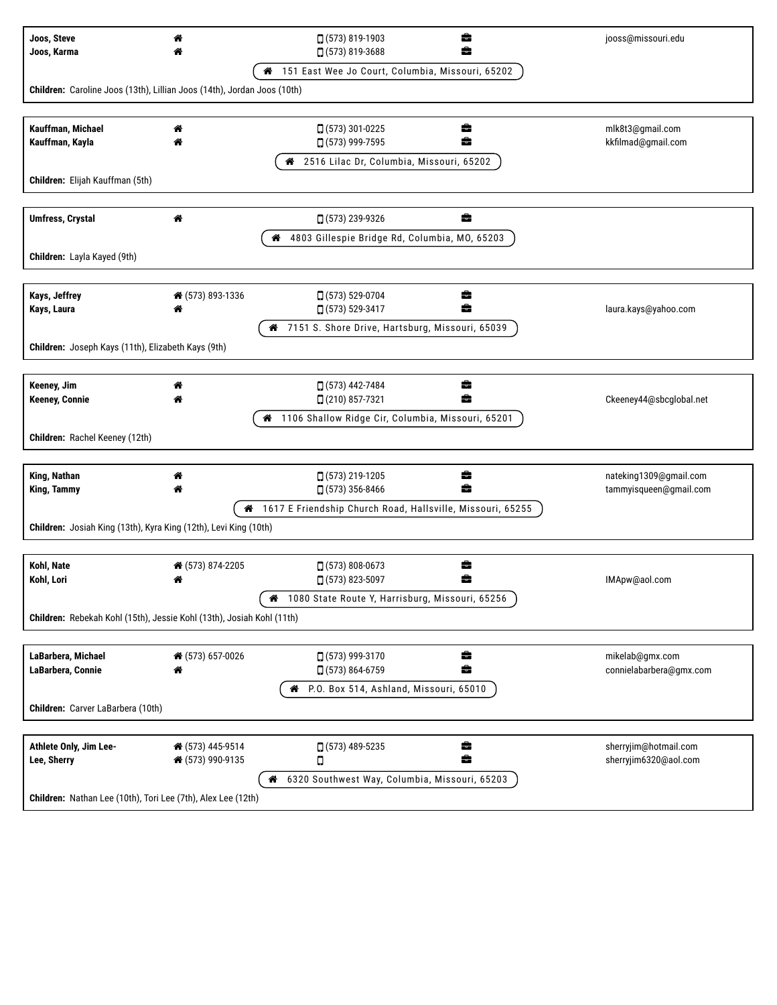| Joos, Steve<br>Joos, Karma                                              | ♠                     | ÷<br>$(573) 819-1903$<br>â<br>$(573) 819 - 3688$           | jooss@missouri.edu                               |  |  |  |
|-------------------------------------------------------------------------|-----------------------|------------------------------------------------------------|--------------------------------------------------|--|--|--|
|                                                                         |                       | 151 East Wee Jo Court, Columbia, Missouri, 65202<br>₩      |                                                  |  |  |  |
| Children: Caroline Joos (13th), Lillian Joos (14th), Jordan Joos (10th) |                       |                                                            |                                                  |  |  |  |
|                                                                         |                       |                                                            |                                                  |  |  |  |
| Kauffman, Michael<br>Kauffman, Kayla                                    | ₩<br>"                | □ (573) 301-0225<br>÷<br>□ (573) 999-7595<br>÷             | mlk8t3@gmail.com<br>kkfilmad@gmail.com           |  |  |  |
|                                                                         |                       | 4 2516 Lilac Dr, Columbia, Missouri, 65202                 |                                                  |  |  |  |
| Children: Elijah Kauffman (5th)                                         |                       |                                                            |                                                  |  |  |  |
|                                                                         |                       |                                                            |                                                  |  |  |  |
| <b>Umfress, Crystal</b>                                                 | 俗                     | ÷<br>[ (573) 239-9326                                      |                                                  |  |  |  |
|                                                                         |                       | 4803 Gillespie Bridge Rd, Columbia, MO, 65203<br>"         |                                                  |  |  |  |
| Children: Layla Kayed (9th)                                             |                       |                                                            |                                                  |  |  |  |
|                                                                         |                       |                                                            |                                                  |  |  |  |
| Kays, Jeffrey                                                           | ↑ (573) 893-1336      | ÷<br>$(573) 529-0704$                                      |                                                  |  |  |  |
| Kays, Laura                                                             | 俗                     | ÷<br>□ (573) 529-3417                                      | laura.kays@yahoo.com                             |  |  |  |
| Children: Joseph Kays (11th), Elizabeth Kays (9th)                      |                       | 7151 S. Shore Drive, Hartsburg, Missouri, 65039<br>ಣ       |                                                  |  |  |  |
|                                                                         |                       |                                                            |                                                  |  |  |  |
| Keeney, Jim                                                             | 谷                     | □ (573) 442-7484<br>8                                      |                                                  |  |  |  |
| <b>Keeney, Connie</b>                                                   | ₩                     | ÷<br>□ (210) 857-7321                                      | Ckeeney44@sbcglobal.net                          |  |  |  |
|                                                                         |                       | 1106 Shallow Ridge Cir, Columbia, Missouri, 65201<br>"     |                                                  |  |  |  |
| Children: Rachel Keeney (12th)                                          |                       |                                                            |                                                  |  |  |  |
|                                                                         |                       |                                                            |                                                  |  |  |  |
| King, Nathan<br><b>King, Tammy</b>                                      | ₩                     | ÷<br>$(573)$ 219-1205<br>÷<br>$(573)$ 356-8466             | nateking1309@gmail.com<br>tammyisqueen@gmail.com |  |  |  |
|                                                                         |                       | 1617 E Friendship Church Road, Hallsville, Missouri, 65255 |                                                  |  |  |  |
| Children: Josiah King (13th), Kyra King (12th), Levi King (10th)        |                       |                                                            |                                                  |  |  |  |
|                                                                         |                       |                                                            |                                                  |  |  |  |
| Kohl, Nate                                                              | ↑ (573) 874-2205      | $\Box$ (573) 808-0673<br>8                                 |                                                  |  |  |  |
| Kohl, Lori                                                              | ₩                     | □ (573) 823-5097<br>÷                                      | IMApw@aol.com                                    |  |  |  |
|                                                                         |                       | 1080 State Route Y, Harrisburg, Missouri, 65256<br>⋒       |                                                  |  |  |  |
| Children: Rebekah Kohl (15th), Jessie Kohl (13th), Josiah Kohl (11th)   |                       |                                                            |                                                  |  |  |  |
|                                                                         |                       |                                                            |                                                  |  |  |  |
| LaBarbera, Michael<br>LaBarbera, Connie                                 | ↑ (573) 657-0026<br>俗 | □ (573) 999-3170<br>€.<br>÷<br>$(573) 864 - 6759$          | mikelab@gmx.com<br>connielabarbera@gmx.com       |  |  |  |
|                                                                         |                       | R P.O. Box 514, Ashland, Missouri, 65010                   |                                                  |  |  |  |
| Children: Carver LaBarbera (10th)                                       |                       |                                                            |                                                  |  |  |  |
|                                                                         |                       |                                                            |                                                  |  |  |  |
| Athlete Only, Jim Lee-                                                  | ↑ (573) 445-9514      | ÷<br>$\Box$ (573) 489-5235                                 | sherryjim@hotmail.com                            |  |  |  |
| Lee, Sherry                                                             | ↑ (573) 990-9135      | ÷<br>Ο                                                     | sherryjim6320@aol.com                            |  |  |  |
| 6320 Southwest Way, Columbia, Missouri, 65203<br>ಣ                      |                       |                                                            |                                                  |  |  |  |
| Children: Nathan Lee (10th), Tori Lee (7th), Alex Lee (12th)            |                       |                                                            |                                                  |  |  |  |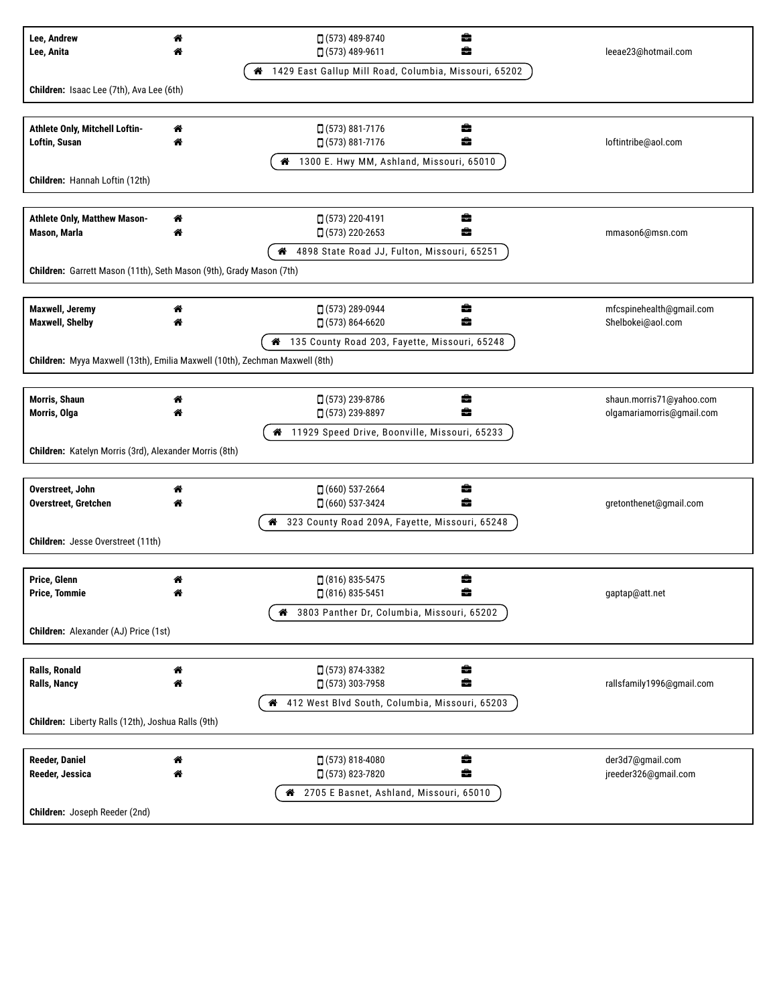| Lee, Andrew                                                                 | ಣ | $(573)$ 489-8740<br>÷                                      |                                               |  |  |
|-----------------------------------------------------------------------------|---|------------------------------------------------------------|-----------------------------------------------|--|--|
| Lee, Anita                                                                  |   | ÷<br>$(573)$ 489-9611                                      | leeae23@hotmail.com                           |  |  |
|                                                                             |   | 1429 East Gallup Mill Road, Columbia, Missouri, 65202<br>ಣ |                                               |  |  |
| Children: Isaac Lee (7th), Ava Lee (6th)                                    |   |                                                            |                                               |  |  |
|                                                                             |   |                                                            |                                               |  |  |
| Athlete Only, Mitchell Loftin-                                              | 斧 | □ (573) 881-7176<br>÷                                      |                                               |  |  |
| Loftin, Susan                                                               | ₩ | $(573) 881 - 7176$<br>÷                                    | loftintribe@aol.com                           |  |  |
|                                                                             |   | 4 1300 E. Hwy MM, Ashland, Missouri, 65010                 |                                               |  |  |
| Children: Hannah Loftin (12th)                                              |   |                                                            |                                               |  |  |
|                                                                             |   |                                                            |                                               |  |  |
| Athlete Only, Matthew Mason-                                                | ₩ | □ (573) 220-4191<br>8                                      |                                               |  |  |
| Mason, Marla                                                                | ♠ | ÷<br>$(573)$ 220-2653                                      | mmason6@msn.com                               |  |  |
|                                                                             |   | 4898 State Road JJ, Fulton, Missouri, 65251<br>◢           |                                               |  |  |
| Children: Garrett Mason (11th), Seth Mason (9th), Grady Mason (7th)         |   |                                                            |                                               |  |  |
|                                                                             |   |                                                            |                                               |  |  |
| <b>Maxwell, Jeremy</b><br><b>Maxwell, Shelby</b>                            | ₩ | $(573)$ 289-0944<br>畠<br>$(573) 864 - 6620$<br>÷           | mfcspinehealth@gmail.com<br>Shelbokei@aol.com |  |  |
|                                                                             |   | 135 County Road 203, Fayette, Missouri, 65248<br>"         |                                               |  |  |
| Children: Myya Maxwell (13th), Emilia Maxwell (10th), Zechman Maxwell (8th) |   |                                                            |                                               |  |  |
|                                                                             |   |                                                            |                                               |  |  |
| Morris, Shaun                                                               | ₩ | $(573)$ 239-8786<br>÷                                      | shaun.morris71@yahoo.com                      |  |  |
| Morris, Olga                                                                |   | □ (573) 239-8897<br>÷                                      | olgamariamorris@gmail.com                     |  |  |
|                                                                             |   | 11929 Speed Drive, Boonville, Missouri, 65233<br>₩         |                                               |  |  |
| Children: Katelyn Morris (3rd), Alexander Morris (8th)                      |   |                                                            |                                               |  |  |
|                                                                             |   |                                                            |                                               |  |  |
| Overstreet, John                                                            | 俗 | ÷<br>$(660)$ 537-2664                                      |                                               |  |  |
| <b>Overstreet, Gretchen</b>                                                 |   | $(660)$ 537-3424<br>÷                                      | gretonthenet@gmail.com                        |  |  |
|                                                                             |   | 323 County Road 209A, Fayette, Missouri, 65248<br>ಣ        |                                               |  |  |
| Children: Jesse Overstreet (11th)                                           |   |                                                            |                                               |  |  |
|                                                                             |   |                                                            |                                               |  |  |
| Price, Glenn<br><b>Price, Tommie</b>                                        | " | $(816) 835 - 5475$<br>8<br>$(816) 835 - 5451$              |                                               |  |  |
|                                                                             |   | 3803 Panther Dr, Columbia, Missouri, 65202<br>₩            | gaptap@att.net                                |  |  |
| Children: Alexander (AJ) Price (1st)                                        |   |                                                            |                                               |  |  |
|                                                                             |   |                                                            |                                               |  |  |
| <b>Ralls, Ronald</b>                                                        | ಣ | ÷<br>$(573) 874 - 3382$                                    |                                               |  |  |
| <b>Ralls, Nancy</b>                                                         | ◈ | ÷<br>$\Box$ (573) 303-7958                                 | rallsfamily1996@gmail.com                     |  |  |
|                                                                             |   | 412 West Blvd South, Columbia, Missouri, 65203<br>₩        |                                               |  |  |
| Children: Liberty Ralls (12th), Joshua Ralls (9th)                          |   |                                                            |                                               |  |  |
|                                                                             |   |                                                            |                                               |  |  |
| <b>Reeder, Daniel</b>                                                       | ಣ | ÷<br>$(573) 818 - 4080$                                    | der3d7@gmail.com                              |  |  |
| Reeder, Jessica                                                             | ◈ | ÷<br>$(573) 823 - 7820$                                    | jreeder326@gmail.com                          |  |  |
|                                                                             |   | 4 2705 E Basnet, Ashland, Missouri, 65010                  |                                               |  |  |
| Children: Joseph Reeder (2nd)                                               |   |                                                            |                                               |  |  |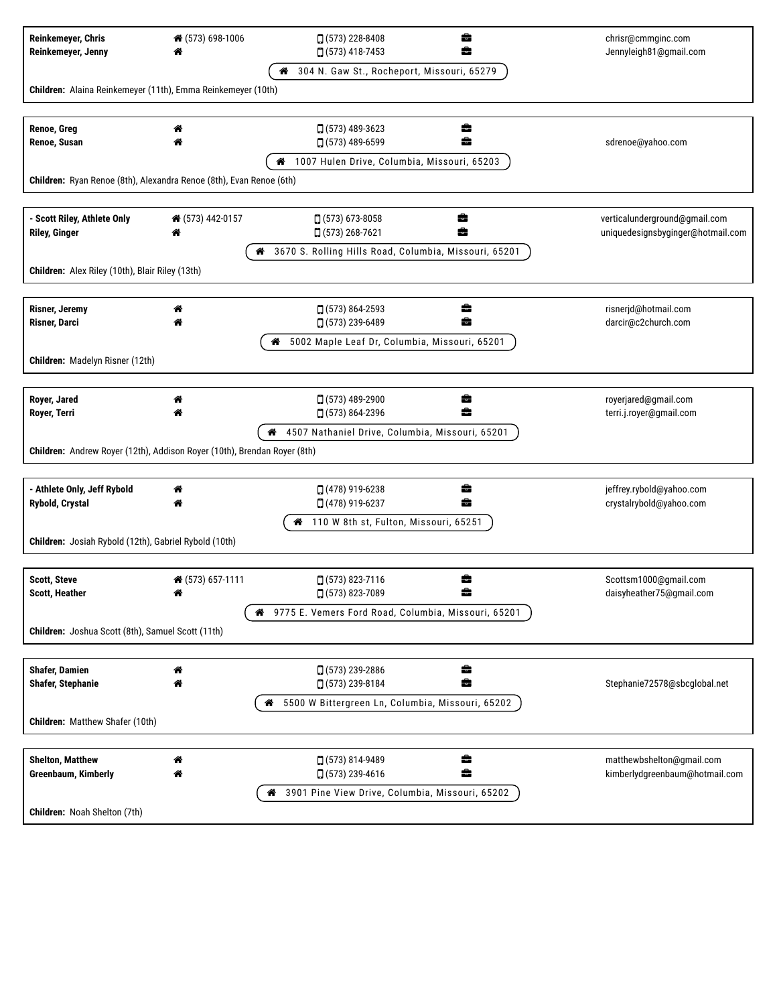| <b>Reinkemeyer, Chris</b><br>Reinkemeyer, Jenny                          | ↑ (573) 698-1006 | $(573)$ 228-8408<br>畵<br>$(573)$ 418-7453<br>÷         | chrisr@cmmginc.com<br>Jennyleigh81@gmail.com                       |  |  |  |
|--------------------------------------------------------------------------|------------------|--------------------------------------------------------|--------------------------------------------------------------------|--|--|--|
|                                                                          |                  | 304 N. Gaw St., Rocheport, Missouri, 65279<br>ಣ        |                                                                    |  |  |  |
| Children: Alaina Reinkemeyer (11th), Emma Reinkemeyer (10th)             |                  |                                                        |                                                                    |  |  |  |
|                                                                          |                  |                                                        |                                                                    |  |  |  |
| Renoe, Greg<br>Renoe, Susan                                              | 俗                | $\Box$ (573) 489-3623<br>÷<br>÷<br>□ (573) 489-6599    | sdrenoe@yahoo.com                                                  |  |  |  |
|                                                                          |                  | 1007 Hulen Drive, Columbia, Missouri, 65203<br>◢       |                                                                    |  |  |  |
| Children: Ryan Renoe (8th), Alexandra Renoe (8th), Evan Renoe (6th)      |                  |                                                        |                                                                    |  |  |  |
|                                                                          |                  |                                                        |                                                                    |  |  |  |
| - Scott Riley, Athlete Only<br><b>Riley, Ginger</b>                      | ↑ (573) 442-0157 | $\Box$ (573) 673-8058<br>ㅎ<br>÷<br>$(573)$ 268-7621    | verticalunderground@gmail.com<br>uniquedesignsbyginger@hotmail.com |  |  |  |
|                                                                          | ₩                | 3670 S. Rolling Hills Road, Columbia, Missouri, 65201  |                                                                    |  |  |  |
| Children: Alex Riley (10th), Blair Riley (13th)                          |                  |                                                        |                                                                    |  |  |  |
|                                                                          |                  |                                                        |                                                                    |  |  |  |
| <b>Risner, Jeremy</b>                                                    | ☎                | ÷<br>$(573) 864 - 2593$                                | risnerjd@hotmail.com                                               |  |  |  |
| <b>Risner, Darci</b>                                                     |                  | $(573)$ 239-6489<br>÷                                  | darcir@c2church.com                                                |  |  |  |
|                                                                          |                  | 5002 Maple Leaf Dr, Columbia, Missouri, 65201          |                                                                    |  |  |  |
| Children: Madelyn Risner (12th)                                          |                  |                                                        |                                                                    |  |  |  |
|                                                                          |                  |                                                        |                                                                    |  |  |  |
| Royer, Jared<br>Royer, Terri                                             |                  | $(573)$ 489-2900<br>畵<br>□ (573) 864-2396<br>÷         | royerjared@gmail.com<br>terri.j.royer@gmail.com                    |  |  |  |
|                                                                          |                  | 4507 Nathaniel Drive, Columbia, Missouri, 65201<br>ಣ   |                                                                    |  |  |  |
| Children: Andrew Royer (12th), Addison Royer (10th), Brendan Royer (8th) |                  |                                                        |                                                                    |  |  |  |
|                                                                          |                  |                                                        |                                                                    |  |  |  |
| - Athlete Only, Jeff Rybold                                              | ♠                | ÷<br>$(478)$ 919-6238                                  | jeffrey.rybold@yahoo.com                                           |  |  |  |
| <b>Rybold, Crystal</b>                                                   | 各                | $(478)$ 919-6237<br>÷                                  | crystalrybold@yahoo.com                                            |  |  |  |
|                                                                          |                  | 110 W 8th st, Fulton, Missouri, 65251<br>ಣ             |                                                                    |  |  |  |
| Children: Josiah Rybold (12th), Gabriel Rybold (10th)                    |                  |                                                        |                                                                    |  |  |  |
|                                                                          |                  |                                                        |                                                                    |  |  |  |
| <b>Scott, Steve</b><br><b>Scott, Heather</b>                             | ↑ (573) 657-1111 | □ (573) 823-7116<br>÷<br>□ (573) 823-7089              | Scottsm1000@gmail.com<br>daisyheather75@gmail.com                  |  |  |  |
|                                                                          |                  | 48 9775 E. Vemers Ford Road, Columbia, Missouri, 65201 |                                                                    |  |  |  |
| Children: Joshua Scott (8th), Samuel Scott (11th)                        |                  |                                                        |                                                                    |  |  |  |
|                                                                          |                  |                                                        |                                                                    |  |  |  |
| <b>Shafer, Damien</b>                                                    | 斧                | ÷<br>$(573)$ 239-2886                                  |                                                                    |  |  |  |
| <b>Shafer, Stephanie</b>                                                 | "                | $\Box$ (573) 239-8184<br>÷                             | Stephanie72578@sbcglobal.net                                       |  |  |  |
|                                                                          |                  | 5500 W Bittergreen Ln, Columbia, Missouri, 65202<br>ಣ  |                                                                    |  |  |  |
| Children: Matthew Shafer (10th)                                          |                  |                                                        |                                                                    |  |  |  |
|                                                                          |                  |                                                        |                                                                    |  |  |  |
| <b>Shelton, Matthew</b>                                                  | "                | $(573) 814 - 9489$<br>÷                                | matthewbshelton@gmail.com                                          |  |  |  |
| <b>Greenbaum, Kimberly</b>                                               | ☎                | ÷<br>$(573)$ 239-4616                                  | kimberlydgreenbaum@hotmail.com                                     |  |  |  |
|                                                                          |                  | 3901 Pine View Drive, Columbia, Missouri, 65202<br>ಣ   |                                                                    |  |  |  |
| Children: Noah Shelton (7th)                                             |                  |                                                        |                                                                    |  |  |  |